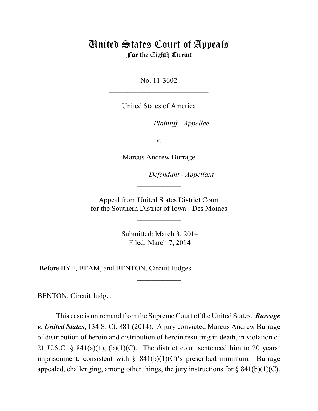## United States Court of Appeals For the Eighth Circuit

\_\_\_\_\_\_\_\_\_\_\_\_\_\_\_\_\_\_\_\_\_\_\_\_\_\_\_

No. 11-3602  $\mathcal{L}_\text{max}$  , which is a set of the set of the set of the set of the set of the set of the set of the set of the set of the set of the set of the set of the set of the set of the set of the set of the set of the set of

United States of America

Plaintiff - Appellee

v.

Marcus Andrew Burrage

lllllllllllllllllllll *Defendant - Appellant*

 Appeal from United States District Court for the Southern District of Iowa - Des Moines

\_\_\_\_\_\_\_\_\_\_\_\_

 $\frac{1}{2}$ 

 Submitted: March 3, 2014 Filed: March 7, 2014

 $\frac{1}{2}$ 

\_\_\_\_\_\_\_\_\_\_\_\_

Before BYE, BEAM, and BENTON, Circuit Judges.

BENTON, Circuit Judge.

This case is on remand from the Supreme Court of the United States. *Burrage v. United States*, 134 S. Ct. 881 (2014). A jury convicted Marcus Andrew Burrage of distribution of heroin and distribution of heroin resulting in death, in violation of 21 U.S.C. § 841(a)(1), (b)(1)(C). The district court sentenced him to 20 years' imprisonment, consistent with  $\S$  841(b)(1)(C)'s prescribed minimum. Burrage appealed, challenging, among other things, the jury instructions for  $\S$  841(b)(1)(C).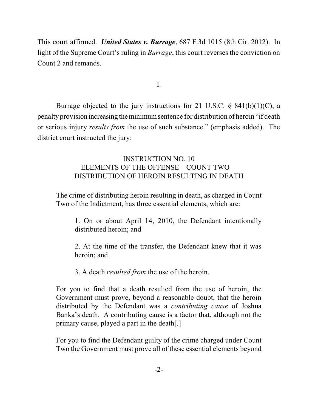This court affirmed. *United States v. Burrage*, 687 F.3d 1015 (8th Cir. 2012). In light of the Supreme Court's ruling in *Burrage*, this court reverses the conviction on Count 2 and remands.

I.

Burrage objected to the jury instructions for 21 U.S.C.  $\S$  841(b)(1)(C), a penalty provision increasing theminimumsentence for distribution of heroin "if death or serious injury *results from* the use of such substance." (emphasis added). The district court instructed the jury:

## INSTRUCTION NO. 10 ELEMENTS OF THE OFFENSE—COUNT TWO— DISTRIBUTION OF HEROIN RESULTING IN DEATH

The crime of distributing heroin resulting in death, as charged in Count Two of the Indictment, has three essential elements, which are:

1. On or about April 14, 2010, the Defendant intentionally distributed heroin; and

2. At the time of the transfer, the Defendant knew that it was heroin; and

3. A death *resulted from* the use of the heroin.

For you to find that a death resulted from the use of heroin, the Government must prove, beyond a reasonable doubt, that the heroin distributed by the Defendant was a *contributing cause* of Joshua Banka's death. A contributing cause is a factor that, although not the primary cause, played a part in the death[.]

For you to find the Defendant guilty of the crime charged under Count Two the Government must prove all of these essential elements beyond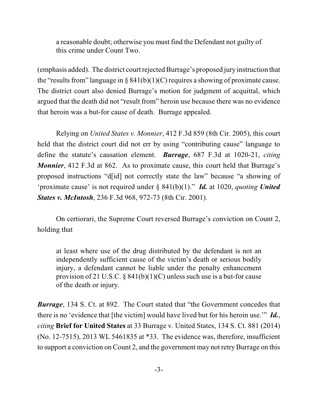a reasonable doubt; otherwise you must find the Defendant not guilty of this crime under Count Two.

(emphasis added). The district court rejected Burrage's proposed jury instruction that the "results from" language in § 841(b)(1)(C) requires a showing of proximate cause. The district court also denied Burrage's motion for judgment of acquittal, which argued that the death did not "result from" heroin use because there was no evidence that heroin was a but-for cause of death. Burrage appealed.

Relying on *United States v. Monnier*, 412 F.3d 859 (8th Cir. 2005), this court held that the district court did not err by using "contributing cause" language to define the statute's causation element. *Burrage*, 687 F.3d at 1020-21, *citing Monnier*, 412 F.3d at 862. As to proximate cause, this court held that Burrage's proposed instructions "d[id] not correctly state the law" because "a showing of 'proximate cause' is not required under § 841(b)(1)." *Id.* at 1020, *quoting United States v. McIntosh*, 236 F.3d 968, 972-73 (8th Cir. 2001).

On certiorari, the Supreme Court reversed Burrage's conviction on Count 2, holding that

at least where use of the drug distributed by the defendant is not an independently sufficient cause of the victim's death or serious bodily injury, a defendant cannot be liable under the penalty enhancement provision of 21 U.S.C.  $\S$  841(b)(1)(C) unless such use is a but-for cause of the death or injury.

*Burrage*, 134 S. Ct. at 892. The Court stated that "the Government concedes that there is no 'evidence that [the victim] would have lived but for his heroin use.'" *Id.*, *citing* **Brief for United States** at 33 Burrage v. United States, 134 S. Ct. 881 (2014) (No. 12-7515), 2013 WL 5461835 at \*33. The evidence was, therefore, insufficient to support a conviction on Count 2, and the government may not retry Burrage on this